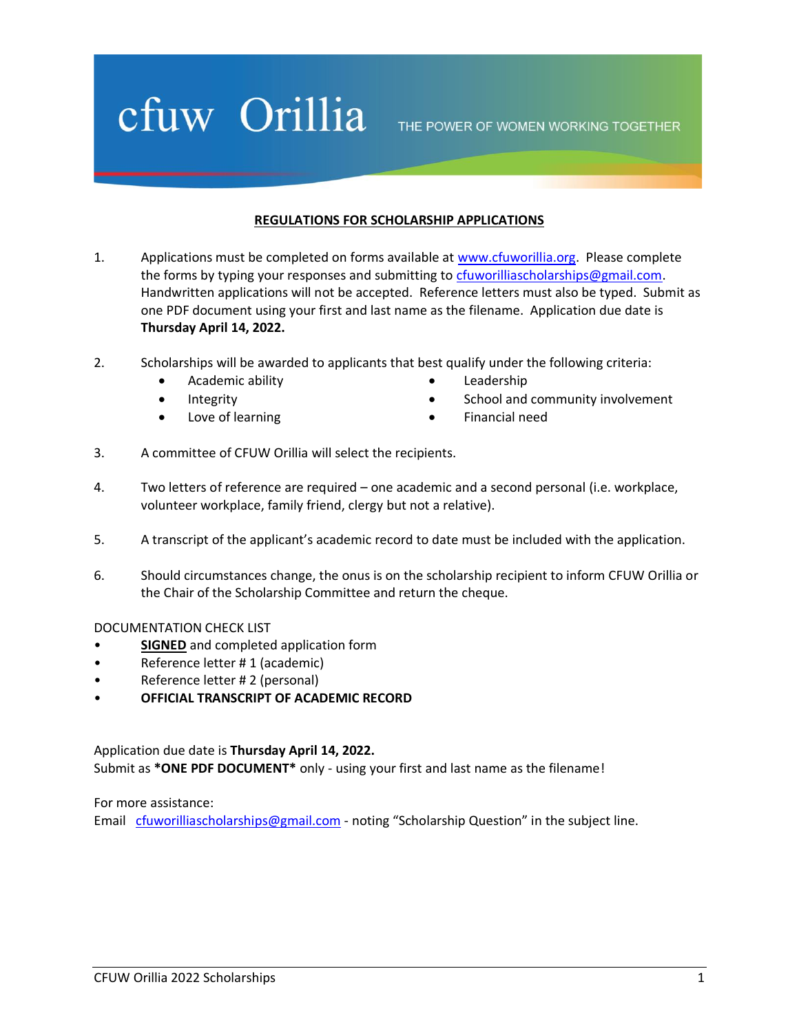## cfuw Orillia

THE POWER OF WOMEN WORKING TOGETHER

## **REGULATIONS FOR SCHOLARSHIP APPLICATIONS**

- 1. Applications must be completed on forms available at [www.cfuworillia.org.](http://www.cfuworillia.org/) Please complete the forms by typing your responses and submitting to [cfuworilliascholarships@gmail.com.](mailto:cfuworilliascholarships@gmail.com) Handwritten applications will not be accepted. Reference letters must also be typed. Submit as one PDF document using your first and last name as the filename. Application due date is **Thursday April 14, 2022.**
- 2. Scholarships will be awarded to applicants that best qualify under the following criteria:
	- Academic ability
	- Integrity
	- Love of learning
- Leadership
- School and community involvement
- Financial need
- 3. A committee of CFUW Orillia will select the recipients.
- 4. Two letters of reference are required one academic and a second personal (i.e. workplace, volunteer workplace, family friend, clergy but not a relative).
- 5. A transcript of the applicant's academic record to date must be included with the application.
- 6. Should circumstances change, the onus is on the scholarship recipient to inform CFUW Orillia or the Chair of the Scholarship Committee and return the cheque.

#### DOCUMENTATION CHECK LIST

- **SIGNED** and completed application form
- Reference letter # 1 (academic)
- Reference letter # 2 (personal)
- **OFFICIAL TRANSCRIPT OF ACADEMIC RECORD**

Application due date is **Thursday April 14, 2022.** Submit as **\*ONE PDF DOCUMENT\*** only - using your first and last name as the filename!

For more assistance:

Email [cfuworilliascholarships@gmail.com](mailto:cfuworilliascholarships@gmail.com) - noting "Scholarship Question" in the subject line.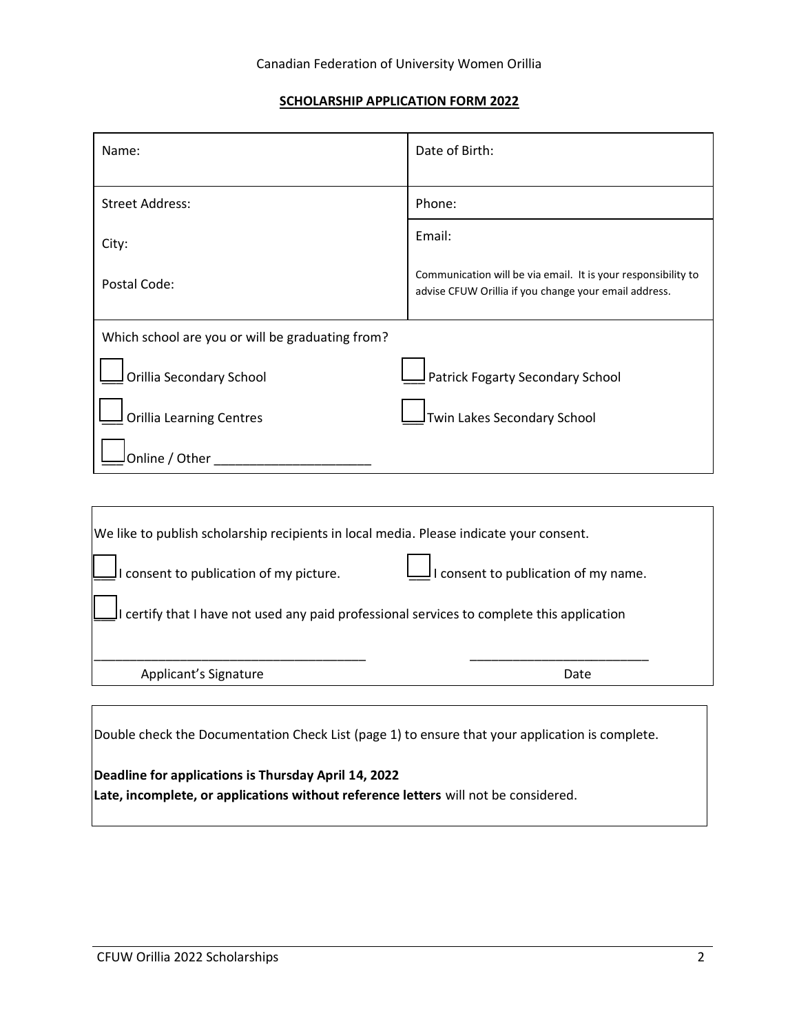### **SCHOLARSHIP APPLICATION FORM 2022**

| Name:                                            | Date of Birth:                                                                                                         |
|--------------------------------------------------|------------------------------------------------------------------------------------------------------------------------|
|                                                  |                                                                                                                        |
| <b>Street Address:</b>                           | Phone:                                                                                                                 |
| City:                                            | Email:                                                                                                                 |
| Postal Code:                                     | Communication will be via email. It is your responsibility to<br>advise CFUW Orillia if you change your email address. |
| Which school are you or will be graduating from? |                                                                                                                        |
| Orillia Secondary School                         | Patrick Fogarty Secondary School                                                                                       |
| <b>Orillia Learning Centres</b>                  | Twin Lakes Secondary School                                                                                            |
| Online / Other                                   |                                                                                                                        |
|                                                  |                                                                                                                        |

| We like to publish scholarship recipients in local media. Please indicate your consent.    |                                            |  |
|--------------------------------------------------------------------------------------------|--------------------------------------------|--|
| I consent to publication of my picture.                                                    | $\vert$ consent to publication of my name. |  |
| I certify that I have not used any paid professional services to complete this application |                                            |  |
| Applicant's Signature                                                                      | Date                                       |  |
|                                                                                            |                                            |  |

Double check the Documentation Check List (page 1) to ensure that your application is complete.

## **Deadline for applications is Thursday April 14, 2022**

**Late, incomplete, or applications without reference letters** will not be considered.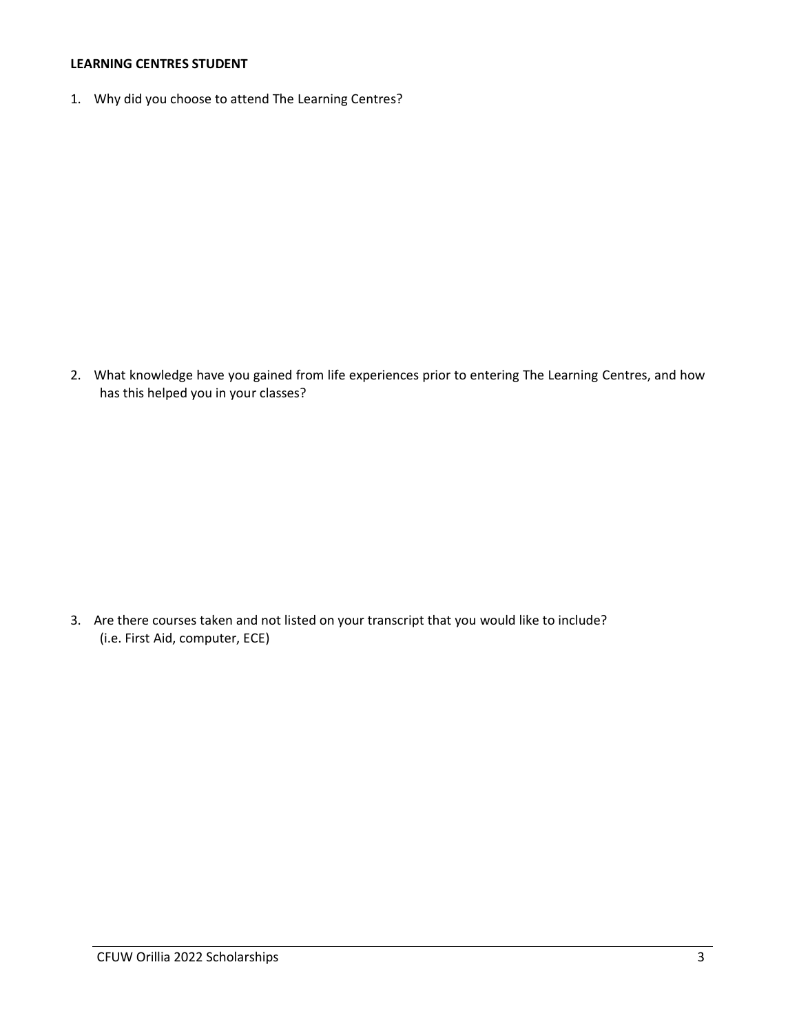## **LEARNING CENTRES STUDENT**

1. Why did you choose to attend The Learning Centres?

2. What knowledge have you gained from life experiences prior to entering The Learning Centres, and how has this helped you in your classes?

3. Are there courses taken and not listed on your transcript that you would like to include? (i.e. First Aid, computer, ECE)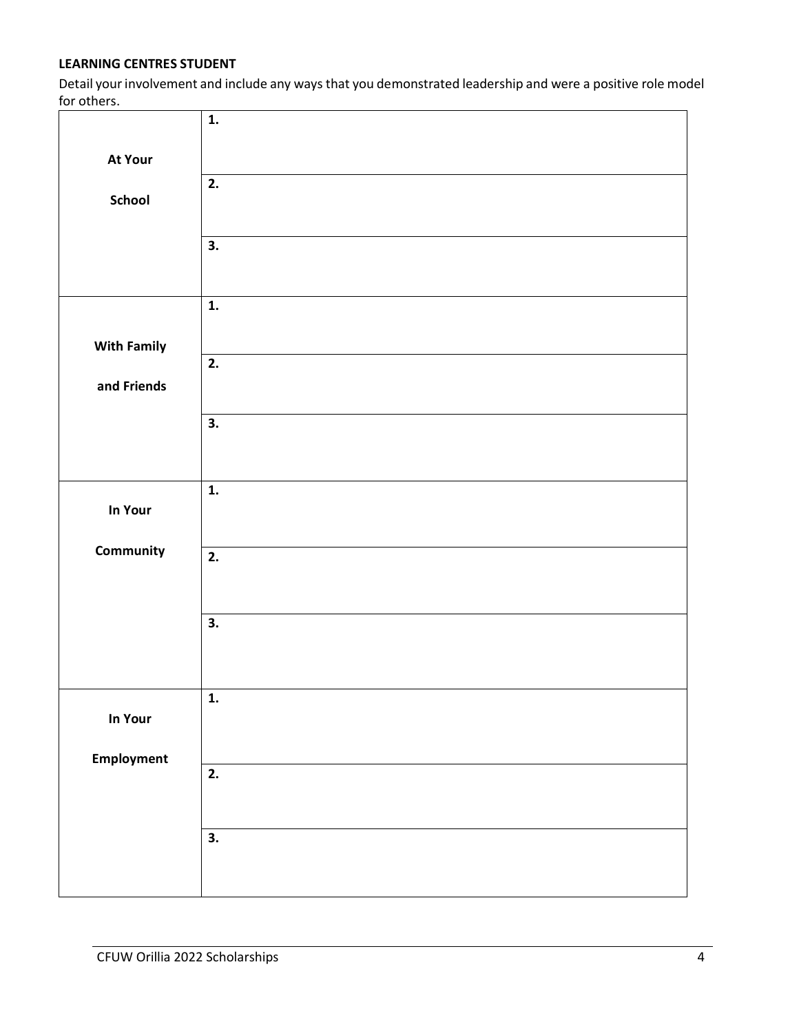## **LEARNING CENTRES STUDENT**

Detail your involvement and include any ways that you demonstrated leadership and were a positive role model for others.

|                    | $\mathbf{1}$ .            |
|--------------------|---------------------------|
| At Your            |                           |
| School             | $\overline{2}$ .          |
|                    | 3.                        |
|                    |                           |
|                    | 1.                        |
| <b>With Family</b> | 2.                        |
| and Friends        |                           |
|                    | 3.                        |
|                    |                           |
| In Your            | $\mathbf{1}$ .            |
| Community          | 2.                        |
|                    |                           |
|                    | 3.                        |
|                    |                           |
| In Your            | $\mathbf{1}$ .            |
|                    |                           |
| Employment         | 2.                        |
|                    |                           |
|                    | $\overline{\mathbf{3}}$ . |
|                    |                           |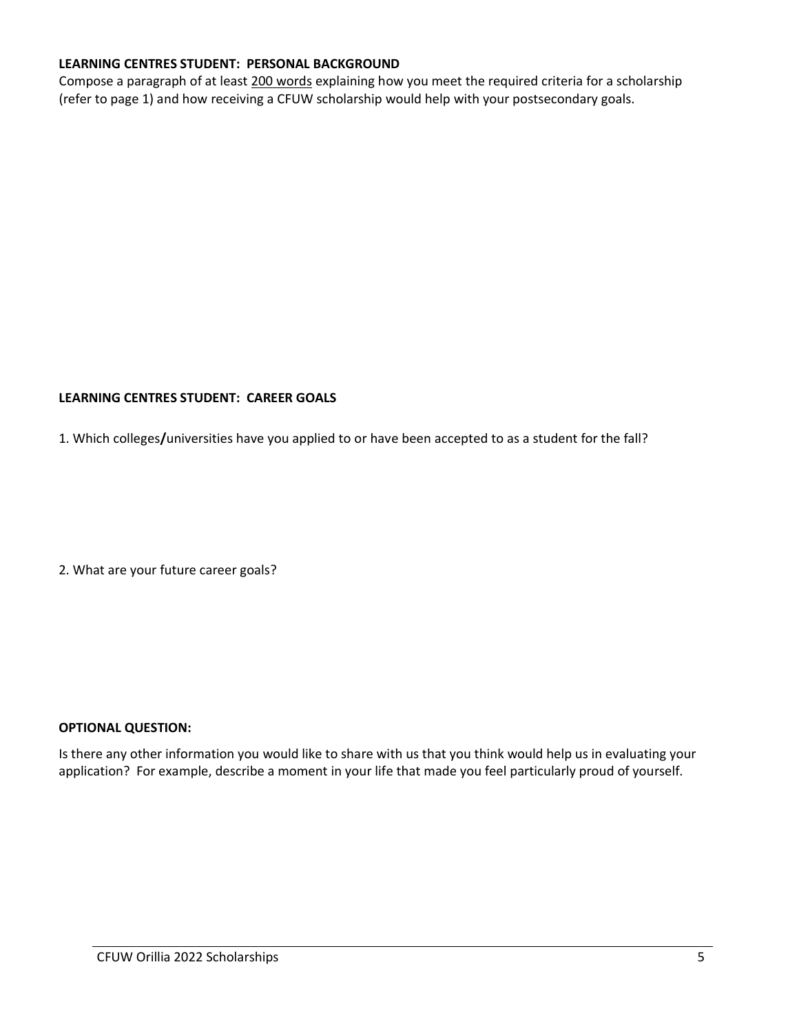## **LEARNING CENTRES STUDENT: PERSONAL BACKGROUND**

Compose a paragraph of at least 200 words explaining how you meet the required criteria for a scholarship (refer to page 1) and how receiving a CFUW scholarship would help with your postsecondary goals.

## **LEARNING CENTRES STUDENT: CAREER GOALS**

1. Which colleges**/**universities have you applied to or have been accepted to as a student for the fall?

2. What are your future career goals?

#### **OPTIONAL QUESTION:**

Is there any other information you would like to share with us that you think would help us in evaluating your application? For example, describe a moment in your life that made you feel particularly proud of yourself.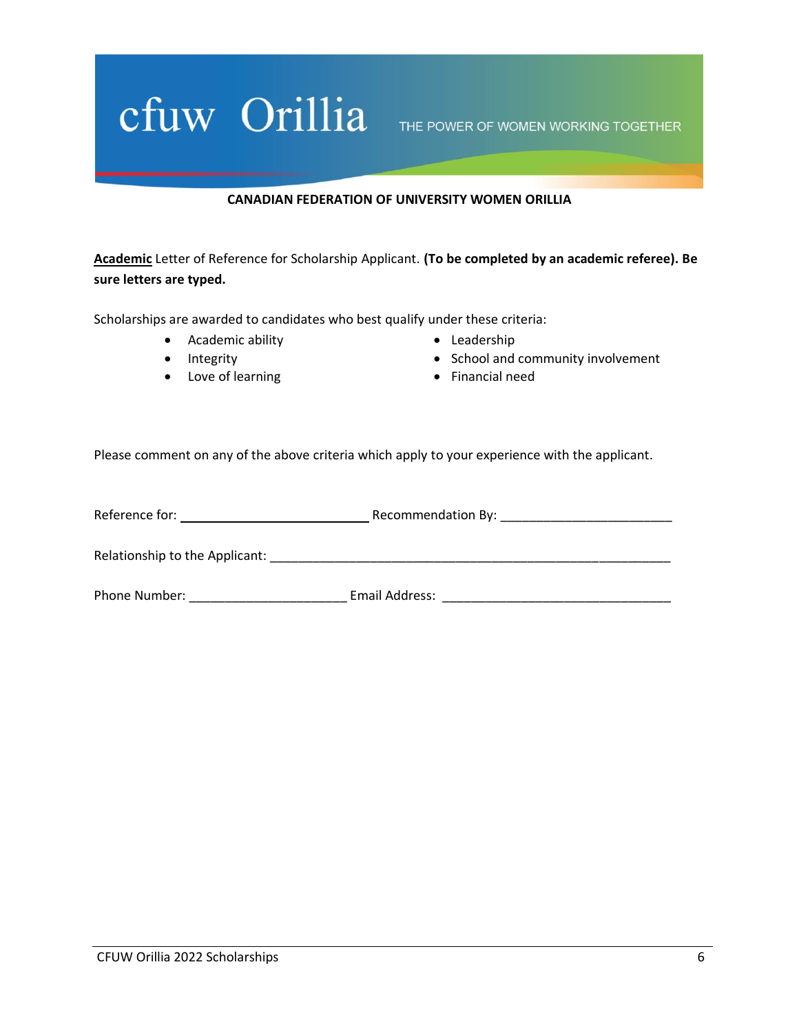# Cfuw Orillia THE POWER OF WOMEN WORKING TOGETHER

### **CANADIAN FEDERATION OF UNIVERSITY WOMEN ORILLIA**

**Academic** Letter of Reference for Scholarship Applicant. **(To be completed by an academic referee). Be sure letters are typed.**

Scholarships are awarded to candidates who best qualify under these criteria:

- Academic ability
- Integrity
- Love of learning
- Leadership
- School and community involvement
- Financial need

Please comment on any of the above criteria which apply to your experience with the applicant.

| Reference for:                 | Recommendation By: |
|--------------------------------|--------------------|
|                                |                    |
| Relationship to the Applicant: |                    |
| Phone Number:                  | Email Address:     |